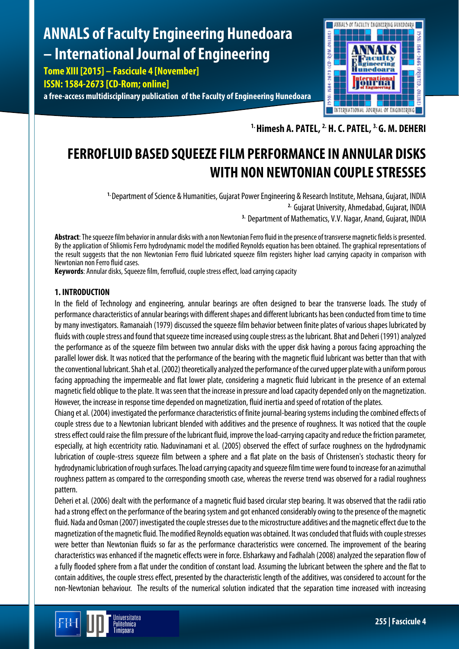# **ANNALS of Faculty Engineering Hunedoara – International Journal of Engineering**

**Tome XIII [2015] – Fascicule 4 [November]**

**ISSN: 1584-2673 [CD-Rom; online]**

**a free-access multidisciplinary publication of the Faculty of Engineering Hunedoara**



**1. Himesh A. PATEL, 2. H. C. PATEL, 3. G. M. DEHERI**

## **FERROFLUID BASED SQUEEZE FILM PERFORMANCE IN ANNULAR DISKS WITH NON NEWTONIAN COUPLE STRESSES**

**1.** Department of Science & Humanities, Gujarat Power Engineering & Research Institute, Mehsana, Gujarat, INDIA **2.** Gujarat University, Ahmedabad, Gujarat, INDIA **3.** Department of Mathematics, V.V. Nagar, Anand, Gujarat, INDIA

**Abstract**: The squeeze film behavior in annular disks with a non Newtonian Ferro fluid in the presence of transverse magnetic fields is presented. By the application of Shliomis Ferro hydrodynamic model the modified Reynolds equation has been obtained. The graphical representations of the result suggests that the non Newtonian Ferro fluid lubricated squeeze film registers higher load carrying capacity in comparison with Newtonian non Ferro fluid cases.

**Keywords**: Annular disks, Squeeze film, ferrofluid, couple stress effect, load carrying capacity

## **1. INTRODUCTION**

In the field of Technology and engineering, annular bearings are often designed to bear the transverse loads. The study of performance characteristics of annular bearings with different shapes and different lubricants has been conducted from time to time by many investigators. Ramanaiah (1979) discussed the squeeze film behavior between finite plates of various shapes lubricatedby fluids with couple stress and found that squeeze time increased using couple stress as the lubricant. Bhat and Deheri (1991) analyzed the performance as of the squeeze film between two annular disks with the upper disk having a porous facing approaching the parallel lower disk. It was noticed that the performance of the bearing with the magnetic fluid lubricant was better than that with the conventional lubricant. Shah et al. (2002) theoretically analyzed the performance of the curved upper plate with a uniform porous facing approaching the impermeable and flat lower plate, considering a magnetic fluid lubricant in the presence of an external magnetic field oblique to the plate. It was seen that the increase in pressure and load capacity depended only on the magnetization. However, the increase in response time depended on magnetization, fluid inertia and speed of rotation of the plates.

Chiang et al. (2004) investigated the performance characteristics of finite journal-bearing systems including the combined effects of couple stress due to a Newtonian lubricant blended with additives and the presence of roughness. It was noticed that the couple stress effect could raise the film pressure of the lubricant fluid, improve the load-carrying capacity and reduce the friction parameter, especially, at high eccentricity ratio. Naduvinamani et al. (2005) observed the effect of surface roughness on the hydrodynamic lubrication of couple-stress squeeze film between a sphere and a flat plate on the basis of Christensen's stochastic theory for hydrodynamic lubrication of rough surfaces. The load carrying capacity and squeeze film time were found to increase for an azimuthal roughness pattern as compared to the corresponding smooth case, whereas the reverse trend was observed for a radial roughness pattern.

Deheri et al. (2006) dealt with the performance of a magnetic fluid based circular step bearing. It was observed that the radii ratio had a strong effect on the performance of the bearing system and got enhanced considerably owing to the presence of the magnetic fluid. Nada and Osman (2007) investigated the couple stresses due to the microstructure additives and the magnetic effect due to the magnetization of the magnetic fluid. The modified Reynolds equation was obtained. It was concluded that fluids with couple stresses were better than Newtonian fluids so far as the performance characteristics were concerned. The improvement of the bearing characteristics was enhanced if the magnetic effects were in force. Elsharkawy and Fadhalah (2008) analyzed the separation flow of a fully flooded sphere from a flat under the condition of constant load. Assuming the lubricant between the sphere and the flat to contain additives, the couple stress effect, presented by the characteristic length of the additives, was considered to account for the non-Newtonian behaviour. The results of the numerical solution indicated that the separation time increased with increasing

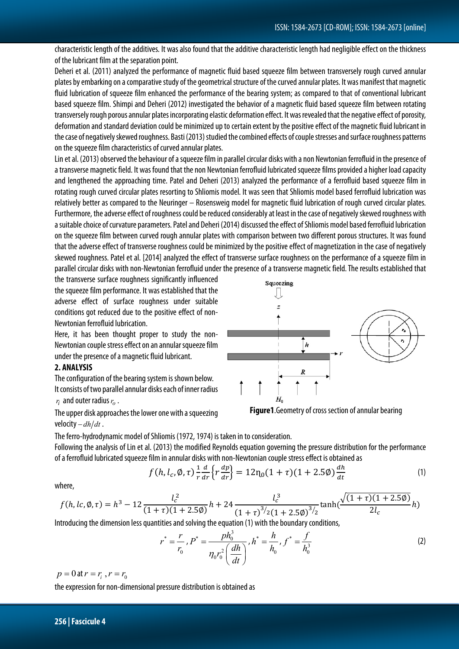characteristic length of the additives. It was also found that the additive characteristic length had negligible effect on the thickness of the lubricant film at the separation point.

Deheri et al. (2011) analyzed the performance of magnetic fluid based squeeze film between transversely rough curved annular plates by embarking on a comparative study of the geometrical structure of the curved annular plates. It was manifest that magnetic fluid lubrication of squeeze film enhanced the performance of the bearing system; as compared to that of conventional lubricant based squeeze film. Shimpi and Deheri (2012) investigated the behavior of a magnetic fluid based squeeze film between rotating transversely rough porous annular plates incorporating elastic deformation effect. It was revealed that the negative effect of porosity, deformation and standard deviation could be minimized up to certain extent by the positive effect of the magnetic fluid lubricant in the case of negatively skewed roughness. Basti (2013) studied the combined effects of couple stresses and surface roughness patterns on the squeeze film characteristics of curved annular plates.

Lin et al. (2013) observed the behaviour of a squeeze film in parallel circular disks with a non Newtonian ferrofluid in the presence of a transverse magnetic field. It was found that the non Newtonian ferrofluid lubricated squeeze films provided a higher load capacity and lengthened the approaching time. Patel and Deheri (2013) analyzed the performance of a ferrofluid based squeeze film in rotating rough curved circular plates resorting to Shliomis model. It was seen that Shliomis model based ferrofluid lubrication was relatively better as compared to the Neuringer – Rosensweig model for magnetic fluid lubrication of rough curved circular plates. Furthermore, the adverse effect of roughness could be reduced considerably at least in the case of negatively skewed roughness with a suitable choice of curvature parameters. Patel and Deheri (2014) discussed the effect of Shliomis model based ferrofluid lubrication on the squeeze film between curved rough annular plates with comparison between two different porous structures. It was found that the adverse effect of transverse roughness could be minimized by the positive effect of magnetization in the case of negatively skewed roughness. Patel et al. [2014] analyzed the effect of transverse surface roughness on the performance of a squeeze film in parallel circular disks with non-Newtonian ferrofluid under the presence of a transverse magnetic field. The results established that

the transverse surface roughness significantly influenced the squeeze film performance. It was established that the adverse effect of surface roughness under suitable conditions got reduced due to the positive effect of non-Newtonian ferrofluid lubrication.

Here, it has been thought proper to study the non-Newtonian couple stress effect on an annular squeeze film under the presence of a magnetic fluid lubricant.

## **2. ANALYSIS**

The configuration of the bearing system is shown below. It consists of two parallel annular disks each of inner radius  $r_i$  and outer radius  $r_o$  .

The upper disk approaches the lower one with a squeezing velocity – *dh*/*dt*.



**Figure1**.Geometry of cross section of annular bearing

The ferro-hydrodynamic model of Shliomis (1972,1974) is taken in to consideration. Following the analysis of Lin et al. (2013) the modified Reynolds equation governing the pressure distribution for the performance of a ferrofluid lubricated squeeze film in annular disks with non-Newtonian couple stress effect is obtained as

$$
f(h, l_c, \emptyset, \tau) \frac{1}{r} \frac{d}{dr} \left\{ r \frac{dp}{dr} \right\} = 12 \eta_0 (1 + \tau) (1 + 2.5 \emptyset) \frac{dh}{dt}
$$
 (1)

Squeezing

where,

$$
f(h, lc, \emptyset, \tau) = h^3 - 12 \frac{l_c^2}{(1+\tau)(1+2.5\emptyset)} h + 24 \frac{l_c^3}{(1+\tau)^{3/2}(1+2.5\emptyset)^{3/2}} \tanh(\frac{\sqrt{(1+\tau)(1+2.5\emptyset)}}{2l_c}h)
$$

Introducing the dimension less quantities and solving the equation (1) with the boundary conditions,

$$
r^* = \frac{r}{r_0}, P^* = \frac{ph_0^3}{\eta_0 r_0^2 \left(\frac{dh}{dt}\right)}, h^* = \frac{h}{h_0}, f^* = \frac{f}{h_0^3}
$$
 (2)

 $p = 0$  at  $r = r_i, r = r_0$ 

the expression for non-dimensional pressure distribution is obtained as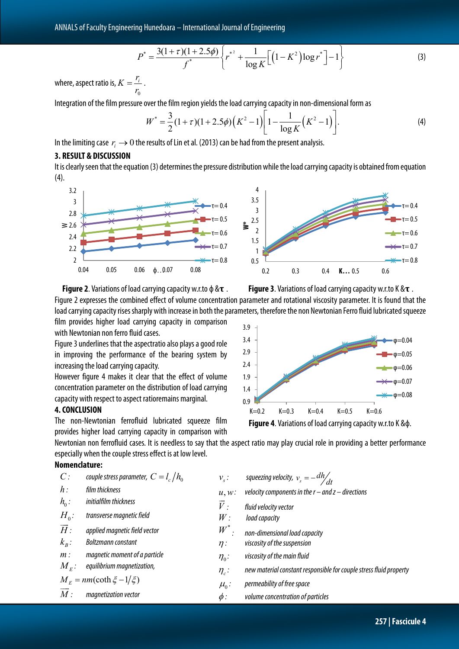$$
P^* = \frac{3(1+\tau)(1+2.5\phi)}{f^*} \left\{ r^{*2} + \frac{1}{\log K} \Big[ \Big( 1 - K^2 \Big) \log r^* \Big] - 1 \right\}
$$
(3)

where, aspect ratio is, 0  $K = \frac{r_i}{r_0}$ .

Integration of the film pressure over the film region yields the load carrying capacity in non-dimensional form as

$$
W^* = \frac{3}{2}(1+\tau)(1+2.5\phi)\left(K^2-1\right)\left[1-\frac{1}{\log K}\left(K^2-1\right)\right].\tag{4}
$$

In the limiting case  $r_i \rightarrow 0$  the results of Lin et al. (2013) can be had from the present analysis.

#### **3. RESULT & DISCUSSION**

It is clearly seen that the equation (3) determines the pressure distribution while the load carrying capacity is obtained from equation (4).





Figure 2 expresses the combined effect of volume concentration parameter and rotational viscosity parameter. It is found that the load carrying capacity rises sharply with increase in both the parameters, therefore the non Newtonian Ferro fluid lubricated squeeze

film provides higher load carrying capacity in comparison with Newtonian non ferro fluid cases.

Figure 3 underlines that the aspectratio also plays a good role in improving the performance of the bearing system by increasing the load carrying capacity.

However figure 4 makes it clear that the effect of volume concentration parameter on the distribution of load carrying capacity with respect to aspect ratioremains marginal.

## **4. CONCLUSION**

The non-Newtonian ferrofluid lubricated squeeze film provides higher load carrying capacity in comparison with





**Figure 4**. Variations of load carrying capacity w.r.to K &ф.

Newtonian non ferrofluid cases. It is needless to say that the aspect ratio may play crucial role in providing a better performance especially when the couple stress effect is at low level.

## **Nomenclature:**

| $C$ :                        | couple stress parameter, $C = l_c/h_0$ | $v_{\rm s}$ :      | squeezing velocity, $v_s = - \frac{dh}{dt}$                        |
|------------------------------|----------------------------------------|--------------------|--------------------------------------------------------------------|
| $h$ :                        | film thickness                         | $u, w$ :           | velocity components in the $r$ – and $z$ – directions              |
| $h_{0}$ :                    | initialfilm thickness                  | $\vec{V}$ :        | fluid velocity vector                                              |
| $H_0$ :                      | transverse magnetic field              | W:                 | load capacity                                                      |
| $\overline{H}$ :             | applied magnetic field vector          | $W^*$<br>$\bullet$ | non-dimensional load capacity                                      |
| $k_{\rm B}$ :                | Boltzmann constant                     | $\eta$ :           | viscosity of the suspension                                        |
| $m$ :                        | magnetic moment of a particle          | $\eta_0$ :         | viscosity of the main fluid                                        |
| $M_{\scriptscriptstyle E}$ : | equilibrium magnetization,             | $\eta_c$ :         | new material constant responsible for couple stress fluid property |
|                              | $M_F = nm(\coth \xi - 1/\xi)$          | $\mu_{0}$ :        | permeability of free space                                         |
| M:                           | magnetization vector                   | $\phi$ :           | volume concentration of particles                                  |